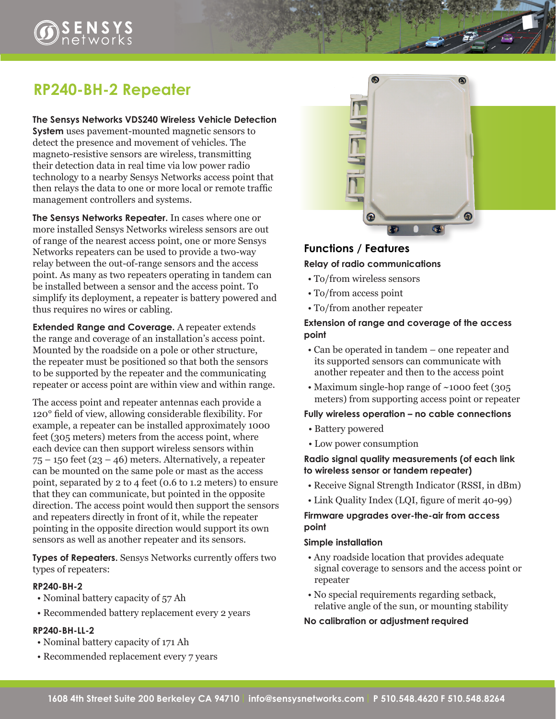# **RP240-BH-2 Repeater**

**The Sensys Networks VDS240 Wireless Vehicle Detection System** uses pavement-mounted magnetic sensors to detect the presence and movement of vehicles. The magneto-resistive sensors are wireless, transmitting their detection data in real time via low power radio technology to a nearby Sensys Networks access point that then relays the data to one or more local or remote traffic management controllers and systems.

**The Sensys Networks Repeater.** In cases where one or more installed Sensys Networks wireless sensors are out of range of the nearest access point, one or more Sensys Networks repeaters can be used to provide a two-way relay between the out-of-range sensors and the access point. As many as two repeaters operating in tandem can be installed between a sensor and the access point. To simplify its deployment, a repeater is battery powered and thus requires no wires or cabling.

**Extended Range and Coverage.** A repeater extends the range and coverage of an installation's access point. Mounted by the roadside on a pole or other structure, the repeater must be positioned so that both the sensors to be supported by the repeater and the communicating repeater or access point are within view and within range.

The access point and repeater antennas each provide a 120° field of view, allowing considerable flexibility. For example, a repeater can be installed approximately 1000 feet (305 meters) meters from the access point, where each device can then support wireless sensors within  $75 - 150$  feet  $(23 - 46)$  meters. Alternatively, a repeater can be mounted on the same pole or mast as the access point, separated by 2 to 4 feet (0.6 to 1.2 meters) to ensure that they can communicate, but pointed in the opposite direction. The access point would then support the sensors and repeaters directly in front of it, while the repeater pointing in the opposite direction would support its own sensors as well as another repeater and its sensors.

**Types of Repeaters.** Sensys Networks currently offers two types of repeaters:

### **RP240-BH-2**

- Nominal battery capacity of 57 Ah
- Recommended battery replacement every 2 years

#### **RP240-BH-LL-2**

- Nominal battery capacity of 171 Ah
- Recommended replacement every 7 years



## **Functions / Features Relay of radio communications**

- To/from wireless sensors
- To/from access point
- To/from another repeater

#### **Extension of range and coverage of the access point**

- Can be operated in tandem one repeater and its supported sensors can communicate with another repeater and then to the access point
- Maximum single-hop range of ~1000 feet (305) meters) from supporting access point or repeater

#### **Fully wireless operation – no cable connections**

- Battery powered
- Low power consumption

#### **Radio signal quality measurements (of each link to wireless sensor or tandem repeater)**

- Receive Signal Strength Indicator (RSSI, in dBm)
- Link Quality Index (LQI, figure of merit 40-99)

### **Firmware upgrades over-the-air from access point**

#### **Simple installation**

- Any roadside location that provides adequate signal coverage to sensors and the access point or repeater
- No special requirements regarding setback, relative angle of the sun, or mounting stability

#### **No calibration or adjustment required**